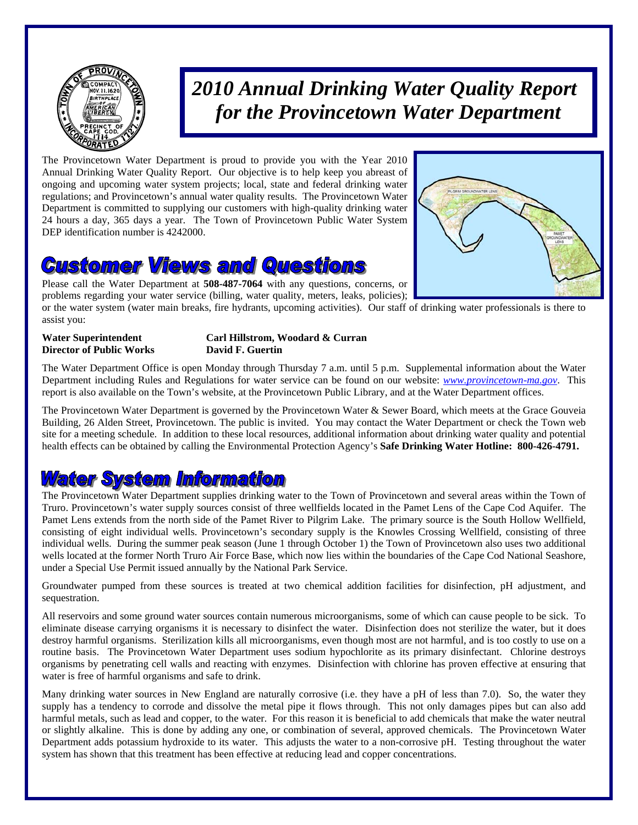

# *2010 Annual Drinking Water Quality Report for the Provincetown Water Department*

The Provincetown Water Department is proud to provide you with the Year 2010 Annual Drinking Water Quality Report. Our objective is to help keep you abreast of ongoing and upcoming water system projects; local, state and federal drinking water regulations; and Provincetown's annual water quality results. The Provincetown Water Department is committed to supplying our customers with high-quality drinking water 24 hours a day, 365 days a year. The Town of Provincetown Public Water System DEP identification number is 4242000.

### **Customer Views and Questions**

Please call the Water Department at **508-487-7064** with any questions, concerns, or problems regarding your water service (billing, water quality, meters, leaks, policies);



or the water system (water main breaks, fire hydrants, upcoming activities). Our staff of drinking water professionals is there to assist you:

**Director of Public Works David F. Guertin** 

## **Water Superintendent Carl Hillstrom, Woodard & Curran**

The Water Department Office is open Monday through Thursday 7 a.m. until 5 p.m. Supplemental information about the Water Department including Rules and Regulations for water service can be found on our website: *www.provincetown-ma.gov*. This report is also available on the Town's website, at the Provincetown Public Library, and at the Water Department offices.

The Provincetown Water Department is governed by the Provincetown Water & Sewer Board, which meets at the Grace Gouveia Building, 26 Alden Street, Provincetown. The public is invited. You may contact the Water Department or check the Town web site for a meeting schedule. In addition to these local resources, additional information about drinking water quality and potential health effects can be obtained by calling the Environmental Protection Agency's **Safe Drinking Water Hotline: 800-426-4791.** 

### **Water System Information**

The Provincetown Water Department supplies drinking water to the Town of Provincetown and several areas within the Town of Truro. Provincetown's water supply sources consist of three wellfields located in the Pamet Lens of the Cape Cod Aquifer. The Pamet Lens extends from the north side of the Pamet River to Pilgrim Lake. The primary source is the South Hollow Wellfield, consisting of eight individual wells. Provincetown's secondary supply is the Knowles Crossing Wellfield, consisting of three individual wells. During the summer peak season (June 1 through October 1) the Town of Provincetown also uses two additional wells located at the former North Truro Air Force Base, which now lies within the boundaries of the Cape Cod National Seashore, under a Special Use Permit issued annually by the National Park Service.

Groundwater pumped from these sources is treated at two chemical addition facilities for disinfection, pH adjustment, and sequestration.

All reservoirs and some ground water sources contain numerous microorganisms, some of which can cause people to be sick. To eliminate disease carrying organisms it is necessary to disinfect the water. Disinfection does not sterilize the water, but it does destroy harmful organisms. Sterilization kills all microorganisms, even though most are not harmful, and is too costly to use on a routine basis. The Provincetown Water Department uses sodium hypochlorite as its primary disinfectant. Chlorine destroys organisms by penetrating cell walls and reacting with enzymes. Disinfection with chlorine has proven effective at ensuring that water is free of harmful organisms and safe to drink.

Many drinking water sources in New England are naturally corrosive (i.e. they have a pH of less than 7.0). So, the water they supply has a tendency to corrode and dissolve the metal pipe it flows through. This not only damages pipes but can also add harmful metals, such as lead and copper, to the water. For this reason it is beneficial to add chemicals that make the water neutral or slightly alkaline. This is done by adding any one, or combination of several, approved chemicals. The Provincetown Water Department adds potassium hydroxide to its water. This adjusts the water to a non-corrosive pH. Testing throughout the water system has shown that this treatment has been effective at reducing lead and copper concentrations.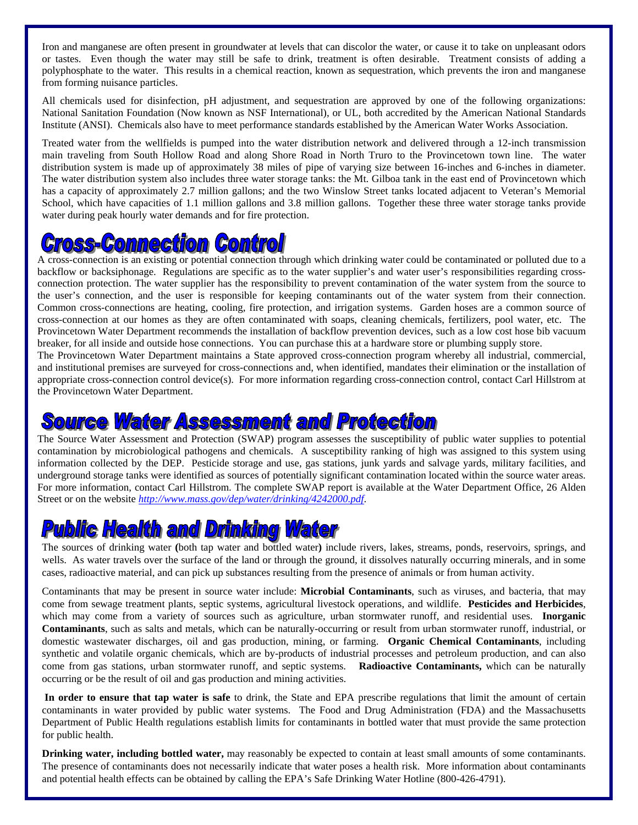Iron and manganese are often present in groundwater at levels that can discolor the water, or cause it to take on unpleasant odors or tastes. Even though the water may still be safe to drink, treatment is often desirable. Treatment consists of adding a polyphosphate to the water. This results in a chemical reaction, known as sequestration, which prevents the iron and manganese from forming nuisance particles.

All chemicals used for disinfection, pH adjustment, and sequestration are approved by one of the following organizations: National Sanitation Foundation (Now known as NSF International), or UL, both accredited by the American National Standards Institute (ANSI). Chemicals also have to meet performance standards established by the American Water Works Association.

Treated water from the wellfields is pumped into the water distribution network and delivered through a 12-inch transmission main traveling from South Hollow Road and along Shore Road in North Truro to the Provincetown town line. The water distribution system is made up of approximately 38 miles of pipe of varying size between 16-inches and 6-inches in diameter. The water distribution system also includes three water storage tanks: the Mt. Gilboa tank in the east end of Provincetown which has a capacity of approximately 2.7 million gallons; and the two Winslow Street tanks located adjacent to Veteran's Memorial School, which have capacities of 1.1 million gallons and 3.8 million gallons. Together these three water storage tanks provide water during peak hourly water demands and for fire protection.

# **ss-Commection Control**

A cross-connection is an existing or potential connection through which drinking water could be contaminated or polluted due to a backflow or backsiphonage. Regulations are specific as to the water supplier's and water user's responsibilities regarding crossconnection protection. The water supplier has the responsibility to prevent contamination of the water system from the source to the user's connection, and the user is responsible for keeping contaminants out of the water system from their connection. Common cross-connections are heating, cooling, fire protection, and irrigation systems. Garden hoses are a common source of cross-connection at our homes as they are often contaminated with soaps, cleaning chemicals, fertilizers, pool water, etc. The Provincetown Water Department recommends the installation of backflow prevention devices, such as a low cost hose bib vacuum breaker, for all inside and outside hose connections. You can purchase this at a hardware store or plumbing supply store.

The Provincetown Water Department maintains a State approved cross-connection program whereby all industrial, commercial, and institutional premises are surveyed for cross-connections and, when identified, mandates their elimination or the installation of appropriate cross-connection control device(s). For more information regarding cross-connection control, contact Carl Hillstrom at the Provincetown Water Department.

## **ource Water Assessment and Protection**

The Source Water Assessment and Protection (SWAP) program assesses the susceptibility of public water supplies to potential contamination by microbiological pathogens and chemicals. A susceptibility ranking of high was assigned to this system using information collected by the DEP. Pesticide storage and use, gas stations, junk yards and salvage yards, military facilities, and underground storage tanks were identified as sources of potentially significant contamination located within the source water areas. For more information, contact Carl Hillstrom. The complete SWAP report is available at the Water Department Office, 26 Alden Street or on the website *http://www.mass.gov/dep/water/drinking/4242000.pdf*.

# **Pulblic Health and Drinking Water**

The sources of drinking water **(**both tap water and bottled water**)** include rivers, lakes, streams, ponds, reservoirs, springs, and wells. As water travels over the surface of the land or through the ground, it dissolves naturally occurring minerals, and in some cases, radioactive material, and can pick up substances resulting from the presence of animals or from human activity.

Contaminants that may be present in source water include: **Microbial Contaminants**, such as viruses, and bacteria, that may come from sewage treatment plants, septic systems, agricultural livestock operations, and wildlife. **Pesticides and Herbicides**, which may come from a variety of sources such as agriculture, urban stormwater runoff, and residential uses. **Inorganic Contaminants**, such as salts and metals, which can be naturally-occurring or result from urban stormwater runoff, industrial, or domestic wastewater discharges, oil and gas production, mining, or farming. **Organic Chemical Contaminants**, including synthetic and volatile organic chemicals, which are by-products of industrial processes and petroleum production, and can also come from gas stations, urban stormwater runoff, and septic systems. **Radioactive Contaminants,** which can be naturally occurring or be the result of oil and gas production and mining activities.

**In order to ensure that tap water is safe** to drink, the State and EPA prescribe regulations that limit the amount of certain contaminants in water provided by public water systems. The Food and Drug Administration (FDA) and the Massachusetts Department of Public Health regulations establish limits for contaminants in bottled water that must provide the same protection for public health.

**Drinking water, including bottled water,** may reasonably be expected to contain at least small amounts of some contaminants. The presence of contaminants does not necessarily indicate that water poses a health risk. More information about contaminants and potential health effects can be obtained by calling the EPA's Safe Drinking Water Hotline (800-426-4791).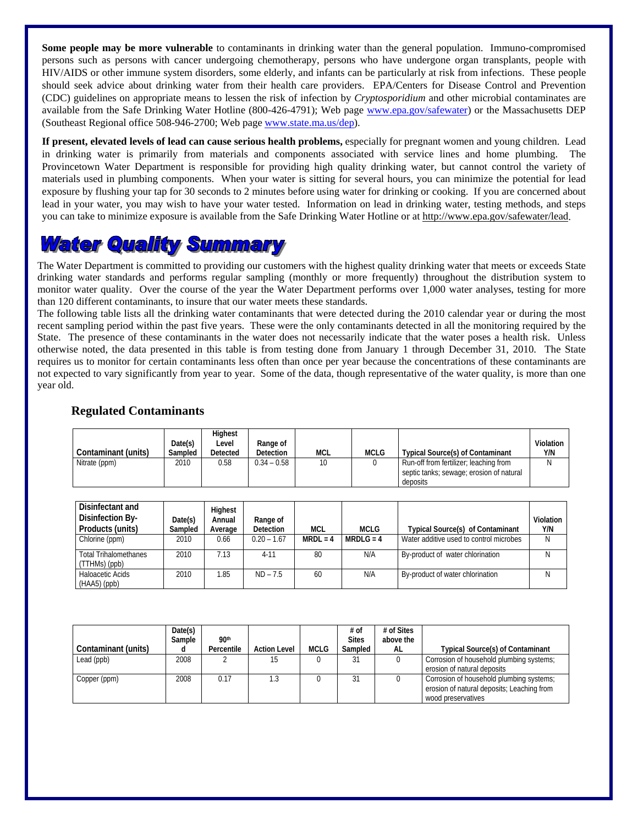**Some people may be more vulnerable** to contaminants in drinking water than the general population. Immuno-compromised persons such as persons with cancer undergoing chemotherapy, persons who have undergone organ transplants, people with HIV/AIDS or other immune system disorders, some elderly, and infants can be particularly at risk from infections. These people should seek advice about drinking water from their health care providers. EPA/Centers for Disease Control and Prevention (CDC) guidelines on appropriate means to lessen the risk of infection by *Cryptosporidium* and other microbial contaminates are available from the Safe Drinking Water Hotline (800-426-4791); Web page www.epa.gov/safewater) or the Massachusetts DEP (Southeast Regional office 508-946-2700; Web page www.state.ma.us/dep).

**If present, elevated levels of lead can cause serious health problems,** especially for pregnant women and young children. Lead in drinking water is primarily from materials and components associated with service lines and home plumbing. The Provincetown Water Department is responsible for providing high quality drinking water, but cannot control the variety of materials used in plumbing components. When your water is sitting for several hours, you can minimize the potential for lead exposure by flushing your tap for 30 seconds to 2 minutes before using water for drinking or cooking. If you are concerned about lead in your water, you may wish to have your water tested. Information on lead in drinking water, testing methods, and steps you can take to minimize exposure is available from the Safe Drinking Water Hotline or at http://www.epa.gov/safewater/lead.

## **Water Quality Summary**

The Water Department is committed to providing our customers with the highest quality drinking water that meets or exceeds State drinking water standards and performs regular sampling (monthly or more frequently) throughout the distribution system to monitor water quality. Over the course of the year the Water Department performs over 1,000 water analyses, testing for more than 120 different contaminants, to insure that our water meets these standards.

The following table lists all the drinking water contaminants that were detected during the 2010 calendar year or during the most recent sampling period within the past five years. These were the only contaminants detected in all the monitoring required by the State. The presence of these contaminants in the water does not necessarily indicate that the water poses a health risk. Unless otherwise noted, the data presented in this table is from testing done from January 1 through December 31, 2010. The State requires us to monitor for certain contaminants less often than once per year because the concentrations of these contaminants are not expected to vary significantly from year to year. Some of the data, though representative of the water quality, is more than one year old.

#### **Regulated Contaminants**

| Contaminant (units) | Date(s)<br>Sampled | <b>Highest</b><br>Level<br><b>Detected</b> | Range of<br><b>Detection</b> | MCL | <b>MCLG</b> | <b>Typical Source(s) of Contaminant</b>                                                        | Violation<br>Y/N |
|---------------------|--------------------|--------------------------------------------|------------------------------|-----|-------------|------------------------------------------------------------------------------------------------|------------------|
| Nitrate (ppm)       | 2010               | 0.58                                       | $0.34 - 0.58$                | 10  |             | Run-off from fertilizer; leaching from<br>septic tanks; sewage; erosion of natural<br>deposits |                  |

| Disinfectant and<br>Disinfection By-<br>Products (units) | Date(s)<br>Sampled | Highest<br>Annual<br>Average | Range of<br><b>Detection</b> | <b>MCL</b> | <b>MCLG</b> | <b>Typical Source(s) of Contaminant</b> | <b>Violation</b><br>Y/N |
|----------------------------------------------------------|--------------------|------------------------------|------------------------------|------------|-------------|-----------------------------------------|-------------------------|
| Chlorine (ppm)                                           | 2010               | 0.66                         | $0.20 - 1.67$                | $MRDL = 4$ | $MRDLG = 4$ | Water additive used to control microbes | N                       |
| <b>Total Trihalomethanes</b><br>(TTHMs) (ppb)            | 2010               | 7.13                         | $4 - 11$                     | 80         | N/A         | By-product of water chlorination        | N                       |
| Haloacetic Acids<br>$(HAA5)$ (ppb)                       | 2010               | 1.85                         | $ND - 7.5$                   | 60         | N/A         | By-product of water chlorination        | N                       |

| Contaminant (units) | Date(s)<br>Sample | 90th<br>Percentile | <b>Action Level</b> | <b>MCLG</b> | # of<br><b>Sites</b><br>Sampled | # of Sites<br>above the<br>AL | <b>Typical Source(s) of Contaminant</b>                                                                      |
|---------------------|-------------------|--------------------|---------------------|-------------|---------------------------------|-------------------------------|--------------------------------------------------------------------------------------------------------------|
| Lead (ppb)          | 2008              |                    | 15                  |             | 31                              |                               | Corrosion of household plumbing systems;<br>erosion of natural deposits                                      |
| Copper (ppm)        | 2008              | 0.17               | 1.3                 |             | 31                              |                               | Corrosion of household plumbing systems;<br>erosion of natural deposits; Leaching from<br>wood preservatives |